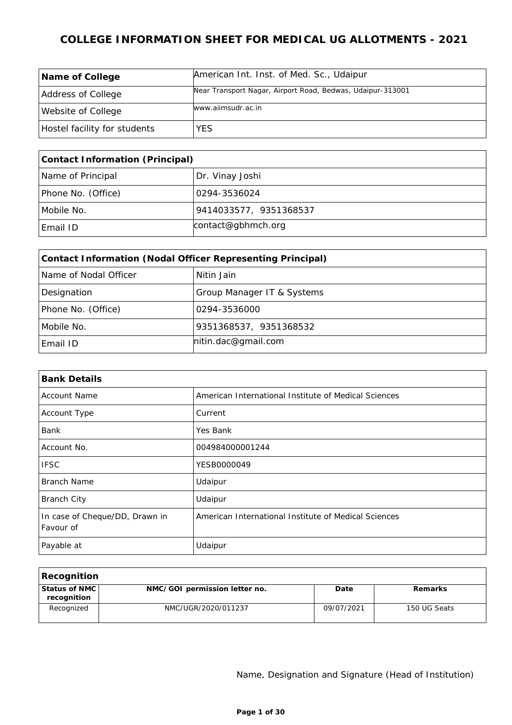| <b>Name of College</b>       | American Int. Inst. of Med. Sc., Udaipur                   |
|------------------------------|------------------------------------------------------------|
| Address of College           | Near Transport Nagar, Airport Road, Bedwas, Udaipur-313001 |
| Website of College           | www.aiimsudr.ac.in                                         |
| Hostel facility for students | <b>YES</b>                                                 |

| Contact Information (Principal) |                        |  |
|---------------------------------|------------------------|--|
| Name of Principal               | Dr. Vinay Joshi        |  |
| Phone No. (Office)              | 0294-3536024           |  |
| Mobile No.                      | 9414033577, 9351368537 |  |
| Email ID                        | contact@gbhmch.org     |  |

| Contact Information (Nodal Officer Representing Principal) |                            |  |
|------------------------------------------------------------|----------------------------|--|
| Name of Nodal Officer                                      | Nitin Jain                 |  |
| Designation                                                | Group Manager IT & Systems |  |
| Phone No. (Office)                                         | 0294-3536000               |  |
| Mobile No.                                                 | 9351368537, 9351368532     |  |
| Email ID                                                   | hitin.dac@gmail.com        |  |

| <b>Bank Details</b>                         |                                                      |  |
|---------------------------------------------|------------------------------------------------------|--|
| <b>Account Name</b>                         | American International Institute of Medical Sciences |  |
| Account Type                                | Current                                              |  |
| Bank                                        | Yes Bank                                             |  |
| Account No.                                 | 004984000001244                                      |  |
| <b>IFSC</b>                                 | YESB0000049                                          |  |
| Branch Name                                 | Udaipur                                              |  |
| <b>Branch City</b>                          | Udaipur                                              |  |
| In case of Cheque/DD, Drawn in<br>Favour of | American International Institute of Medical Sciences |  |
| Payable at                                  | Udaipur                                              |  |

| Recognition                    |                               |            |              |
|--------------------------------|-------------------------------|------------|--------------|
| Status of NMC  <br>recognition | NMC/GOI permission letter no. | Date       | Remarks      |
| Recognized                     | NMC/UGR/2020/011237           | 09/07/2021 | 150 UG Seats |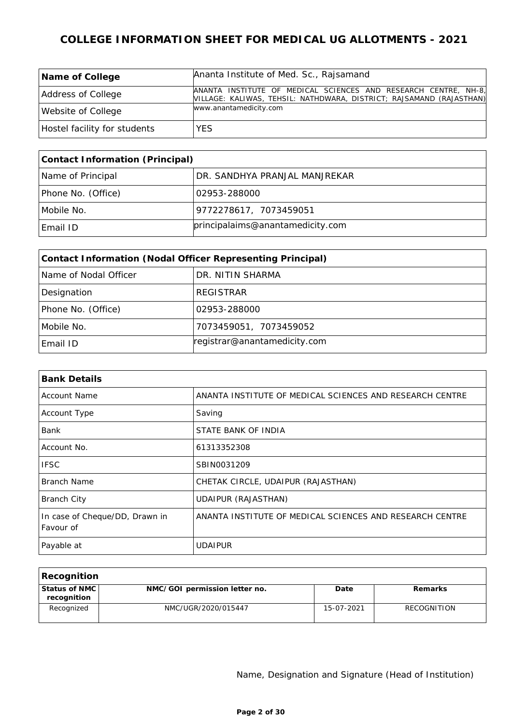| Name of College              | Ananta Institute of Med. Sc., Rajsamand                                                                                                 |
|------------------------------|-----------------------------------------------------------------------------------------------------------------------------------------|
| Address of College           | ANANTA INSTITUTE OF MEDICAL SCIENCES AND RESEARCH CENTRE, NH-8,<br>VILLAGE: KALIWAS, TEHSIL: NATHDWARA, DISTRICT; RAJSAMAND (RAJASTHAN) |
| Website of College           | www.anantamedicity.com                                                                                                                  |
| Hostel facility for students | <b>YES</b>                                                                                                                              |

| Contact Information (Principal) |                                  |  |
|---------------------------------|----------------------------------|--|
| Name of Principal               | DR. SANDHYA PRANJAL MANJREKAR    |  |
| Phone No. (Office)              | 102953-288000                    |  |
| Mobile No.                      | 9772278617, 7073459051           |  |
| Email ID                        | principalaims@anantamedicity.com |  |

| Contact Information (Nodal Officer Representing Principal) |                              |  |
|------------------------------------------------------------|------------------------------|--|
| Name of Nodal Officer                                      | DR. NITIN SHARMA             |  |
| Designation                                                | REGISTRAR                    |  |
| Phone No. (Office)                                         | 02953-288000                 |  |
| Mobile No.                                                 | 7073459051, 7073459052       |  |
| Email ID                                                   | registrar@anantamedicity.com |  |

| <b>Bank Details</b>                         |                                                          |
|---------------------------------------------|----------------------------------------------------------|
| <b>Account Name</b>                         | ANANTA INSTITUTE OF MEDICAL SCIENCES AND RESEARCH CENTRE |
| Account Type                                | Saving                                                   |
| <b>Bank</b>                                 | STATE BANK OF INDIA                                      |
| Account No.                                 | 61313352308                                              |
| <b>IFSC</b>                                 | SBIN0031209                                              |
| Branch Name                                 | CHETAK CIRCLE, UDAIPUR (RAJASTHAN)                       |
| <b>Branch City</b>                          | UDAIPUR (RAJASTHAN)                                      |
| In case of Cheque/DD, Drawn in<br>Favour of | ANANTA INSTITUTE OF MEDICAL SCIENCES AND RESEARCH CENTRE |
| Payable at                                  | UDAIPUR                                                  |

| Recognition                    |                               |            |             |
|--------------------------------|-------------------------------|------------|-------------|
| Status of NMC  <br>recognition | NMC/GOI permission letter no. | Date       | Remarks     |
| Recognized                     | NMC/UGR/2020/015447           | 15-07-2021 | RECOGNITION |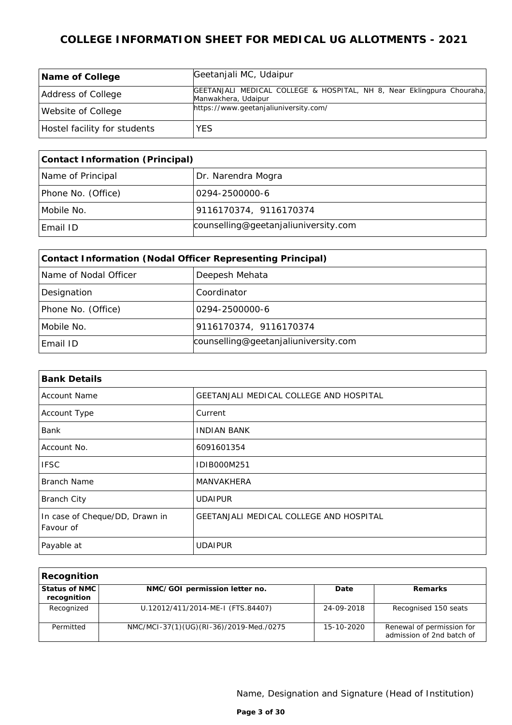| Name of College              | Geetanjali MC, Udaipur                                                                        |
|------------------------------|-----------------------------------------------------------------------------------------------|
| Address of College           | GEETANJALI MEDICAL COLLEGE & HOSPITAL, NH 8, Near Eklingpura Chouraha,<br>Manwakhera, Udaipur |
| Website of College           | https://www.geetanjaliuniversity.com/                                                         |
| Hostel facility for students | <b>YES</b>                                                                                    |

| Contact Information (Principal) |                                      |  |
|---------------------------------|--------------------------------------|--|
| Name of Principal               | Dr. Narendra Mogra                   |  |
| Phone No. (Office)              | 10294-2500000-6                      |  |
| Mobile No.                      | 9116170374, 9116170374               |  |
| Email ID                        | counselling@geetanjaliuniversity.com |  |

| Contact Information (Nodal Officer Representing Principal) |                                      |  |
|------------------------------------------------------------|--------------------------------------|--|
| Name of Nodal Officer                                      | Deepesh Mehata                       |  |
| Designation                                                | Coordinator                          |  |
| Phone No. (Office)                                         | 0294-2500000-6                       |  |
| Mobile No.                                                 | 9116170374, 9116170374               |  |
| Email ID                                                   | counselling@geetanjaliuniversity.com |  |

| <b>Bank Details</b>                         |                                                |  |
|---------------------------------------------|------------------------------------------------|--|
| <b>Account Name</b>                         | GEETANJALI MEDICAL COLLEGE AND HOSPITAL        |  |
| Account Type                                | Current                                        |  |
| Bank                                        | <b>INDIAN BANK</b>                             |  |
| Account No.                                 | 6091601354                                     |  |
| <b>IFSC</b>                                 | IDIB000M251                                    |  |
| Branch Name                                 | <b>MANVAKHERA</b>                              |  |
| <b>Branch City</b>                          | <b>UDAIPUR</b>                                 |  |
| In case of Cheque/DD, Drawn in<br>Favour of | <b>GEETANJALI MEDICAL COLLEGE AND HOSPITAL</b> |  |
| Payable at                                  | <b>UDAIPUR</b>                                 |  |

| Recognition                  |                                         |            |                                                        |
|------------------------------|-----------------------------------------|------------|--------------------------------------------------------|
| Status of NMC<br>recognition | NMC/GOI permission letter no.           | Date       | Remarks                                                |
| Recognized                   | U.12012/411/2014-ME-I (FTS.84407)       | 24-09-2018 | Recognised 150 seats                                   |
| Permitted                    | NMC/MCI-37(1)(UG)(RI-36)/2019-Med./0275 | 15-10-2020 | Renewal of permission for<br>admission of 2nd batch of |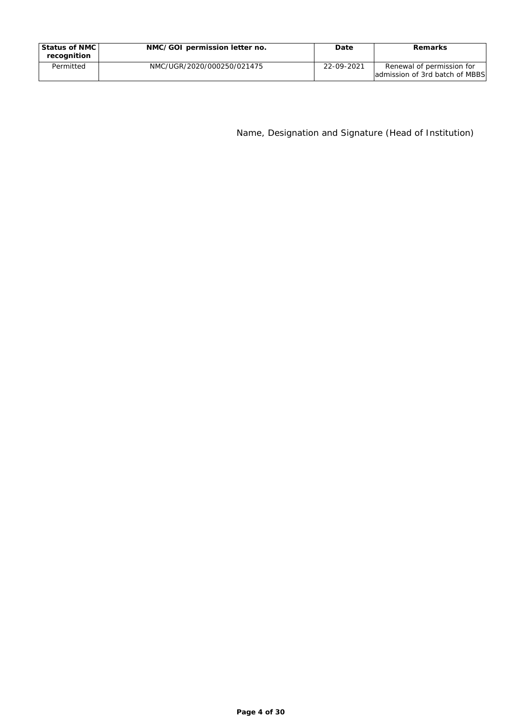| Status of NMC I<br>recognition | NMC/GOI permission letter no. | Date       | Remarks                                                     |
|--------------------------------|-------------------------------|------------|-------------------------------------------------------------|
| Permitted                      | NMC/UGR/2020/000250/021475    | 22-09-2021 | Renewal of permission for<br>admission of 3rd batch of MBBS |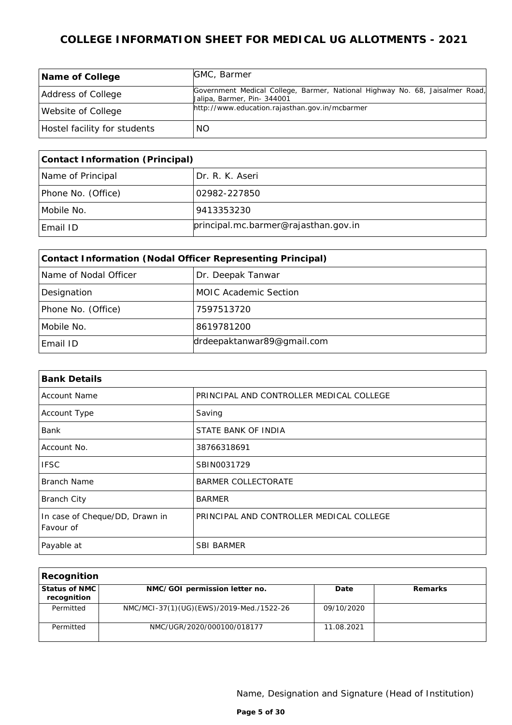| Name of College              | GMC, Barmer                                                                                                 |
|------------------------------|-------------------------------------------------------------------------------------------------------------|
| Address of College           | Government Medical College, Barmer, National Highway No. 68, Jaisalmer Road,<br>Jalipa, Barmer, Pin- 344001 |
| Website of College           | http://www.education.rajasthan.gov.in/mcbarmer                                                              |
| Hostel facility for students | NO.                                                                                                         |

| Contact Information (Principal) |                                      |
|---------------------------------|--------------------------------------|
| Name of Principal               | Dr. R. K. Aseri                      |
| Phone No. (Office)              | 02982-227850                         |
| Mobile No.                      | 9413353230                           |
| Email ID                        | principal.mc.barmer@rajasthan.gov.in |

| Contact Information (Nodal Officer Representing Principal) |                              |  |
|------------------------------------------------------------|------------------------------|--|
| Name of Nodal Officer                                      | Dr. Deepak Tanwar            |  |
| Designation                                                | <b>MOIC Academic Section</b> |  |
| Phone No. (Office)                                         | 7597513720                   |  |
| Mobile No.                                                 | 8619781200                   |  |
| Email ID                                                   | drdeepaktanwar89@gmail.com   |  |

| <b>Bank Details</b>                         |                                          |  |
|---------------------------------------------|------------------------------------------|--|
| <b>Account Name</b>                         | PRINCIPAL AND CONTROLLER MEDICAL COLLEGE |  |
| Account Type                                | Saving                                   |  |
| <b>Bank</b>                                 | STATE BANK OF INDIA                      |  |
| Account No.                                 | 38766318691                              |  |
| <b>IFSC</b>                                 | SBIN0031729                              |  |
| Branch Name                                 | <b>BARMER COLLECTORATE</b>               |  |
| <b>Branch City</b>                          | <b>BARMER</b>                            |  |
| In case of Cheque/DD, Drawn in<br>Favour of | PRINCIPAL AND CONTROLLER MEDICAL COLLEGE |  |
| Payable at                                  | <b>SBI BARMER</b>                        |  |

| Recognition                  |                                          |            |         |
|------------------------------|------------------------------------------|------------|---------|
| Status of NMC<br>recognition | NMC/GOI permission letter no.            | Date       | Remarks |
| Permitted                    | NMC/MCI-37(1)(UG)(EWS)/2019-Med./1522-26 | 09/10/2020 |         |
| Permitted                    | NMC/UGR/2020/000100/018177               | 11.08.2021 |         |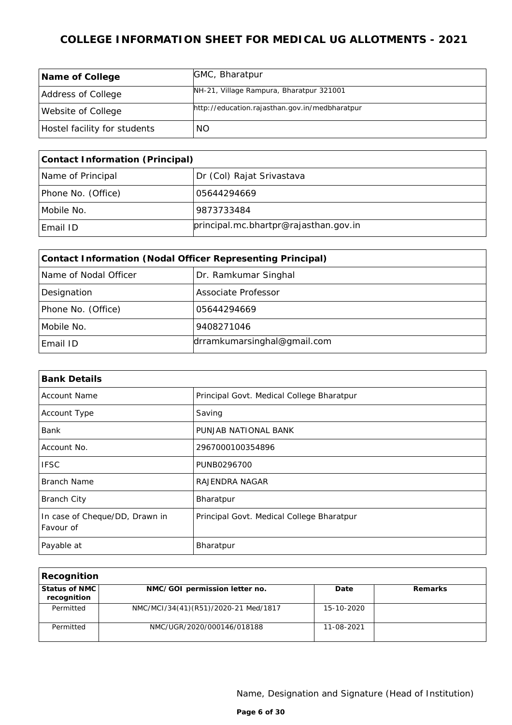| Name of College              | GMC, Bharatpur                                 |
|------------------------------|------------------------------------------------|
| Address of College           | NH-21, Village Rampura, Bharatpur 321001       |
| Website of College           | http://education.rajasthan.gov.in/medbharatpur |
| Hostel facility for students | NO.                                            |

| Contact Information (Principal) |                                       |
|---------------------------------|---------------------------------------|
| Name of Principal               | Dr (Col) Rajat Srivastava             |
| Phone No. (Office)              | 05644294669                           |
| Mobile No.                      | 9873733484                            |
| Email ID                        | principal.mc.bhartpr@rajasthan.gov.in |

| Contact Information (Nodal Officer Representing Principal) |                             |  |
|------------------------------------------------------------|-----------------------------|--|
| Name of Nodal Officer                                      | Dr. Ramkumar Singhal        |  |
| Designation                                                | Associate Professor         |  |
| Phone No. (Office)                                         | 05644294669                 |  |
| Mobile No.                                                 | 9408271046                  |  |
| Email ID                                                   | drramkumarsinghal@gmail.com |  |

| <b>Bank Details</b>                         |                                           |  |
|---------------------------------------------|-------------------------------------------|--|
| <b>Account Name</b>                         | Principal Govt. Medical College Bharatpur |  |
| Account Type                                | Saving                                    |  |
| Bank                                        | PUNJAB NATIONAL BANK                      |  |
| Account No.                                 | 2967000100354896                          |  |
| <b>IFSC</b>                                 | PUNB0296700                               |  |
| <b>Branch Name</b>                          | RAJENDRA NAGAR                            |  |
| <b>Branch City</b>                          | Bharatpur                                 |  |
| In case of Cheque/DD, Drawn in<br>Favour of | Principal Govt. Medical College Bharatpur |  |
| Payable at                                  | Bharatpur                                 |  |

| Recognition                  |                                      |            |         |
|------------------------------|--------------------------------------|------------|---------|
| Status of NMC<br>recognition | NMC/GOI permission letter no.        | Date       | Remarks |
| Permitted                    | NMC/MCI/34(41)(R51)/2020-21 Med/1817 | 15-10-2020 |         |
| Permitted                    | NMC/UGR/2020/000146/018188           | 11-08-2021 |         |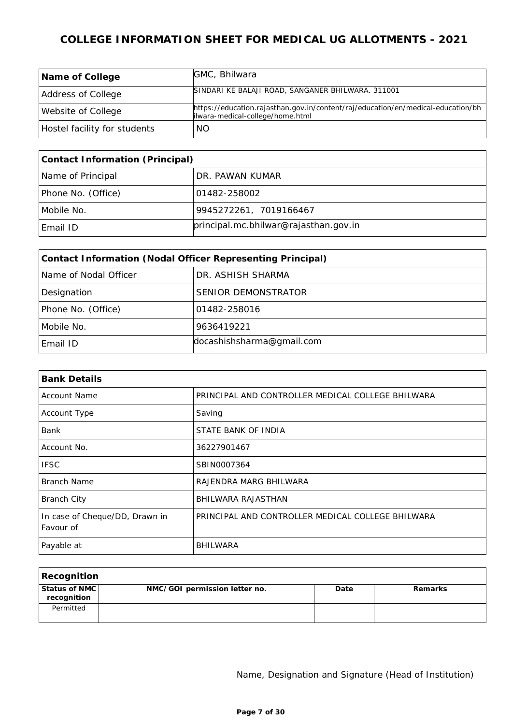| Name of College              | GMC, Bhilwara                                                                    |
|------------------------------|----------------------------------------------------------------------------------|
|                              |                                                                                  |
|                              | SINDARI KE BALAJI ROAD, SANGANER BHILWARA. 311001                                |
| Address of College           |                                                                                  |
|                              | https://education.rajasthan.gov.in/content/raj/education/en/medical-education/bh |
| Website of College           | ilwara-medical-college/home.html                                                 |
|                              |                                                                                  |
| Hostel facility for students | NO.                                                                              |

| Contact Information (Principal) |                                       |  |
|---------------------------------|---------------------------------------|--|
| Name of Principal               | DR. PAWAN KUMAR                       |  |
| Phone No. (Office)              | 101482-258002                         |  |
| Mobile No.                      | 9945272261, 7019166467                |  |
| Email ID                        | principal.mc.bhilwar@rajasthan.gov.in |  |

| Contact Information (Nodal Officer Representing Principal) |                           |  |
|------------------------------------------------------------|---------------------------|--|
| Name of Nodal Officer                                      | DR. ASHISH SHARMA         |  |
| Designation                                                | SENIOR DEMONSTRATOR       |  |
| Phone No. (Office)                                         | 01482-258016              |  |
| Mobile No.                                                 | 9636419221                |  |
| Email ID                                                   | docashishsharma@gmail.com |  |

| <b>Bank Details</b>                         |                                                   |
|---------------------------------------------|---------------------------------------------------|
| <b>Account Name</b>                         | PRINCIPAL AND CONTROLLER MEDICAL COLLEGE BHILWARA |
| Account Type                                | Saving                                            |
| Bank                                        | STATE BANK OF INDIA                               |
| Account No.                                 | 36227901467                                       |
| <b>IFSC</b>                                 | SBIN0007364                                       |
| Branch Name                                 | RAJENDRA MARG BHILWARA                            |
| <b>Branch City</b>                          | BHILWARA RAJASTHAN                                |
| In case of Cheque/DD, Drawn in<br>Favour of | PRINCIPAL AND CONTROLLER MEDICAL COLLEGE BHILWARA |
| Payable at                                  | BHILWARA                                          |

| Recognition                  |                               |      |         |
|------------------------------|-------------------------------|------|---------|
| Status of NMC<br>recognition | NMC/GOI permission letter no. | Date | Remarks |
| Permitted                    |                               |      |         |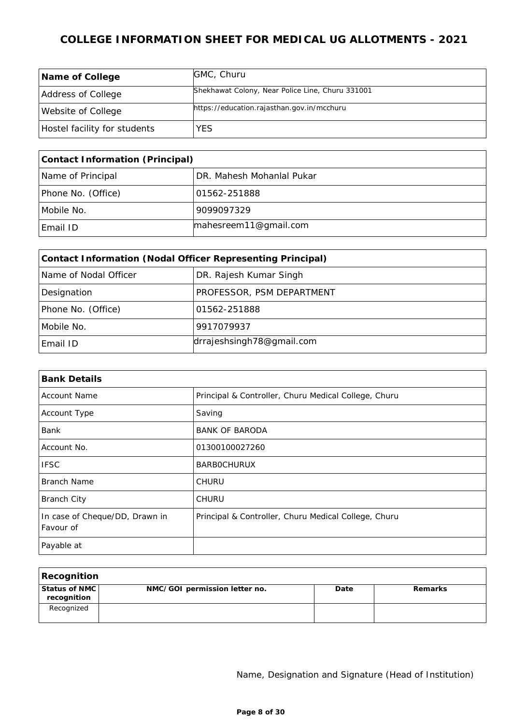| Name of College              | GMC, Churu                                       |
|------------------------------|--------------------------------------------------|
| Address of College           | Shekhawat Colony, Near Police Line, Churu 331001 |
| Website of College           | https://education.rajasthan.gov.in/mcchuru       |
| Hostel facility for students | <b>YES</b>                                       |

| Contact Information (Principal) |                           |  |
|---------------------------------|---------------------------|--|
| Name of Principal               | DR. Mahesh Mohanlal Pukar |  |
| Phone No. (Office)              | 101562-251888             |  |
| Mobile No.                      | 9099097329                |  |
| Email ID                        | mahesreem11@gmail.com     |  |

| Contact Information (Nodal Officer Representing Principal) |                           |  |
|------------------------------------------------------------|---------------------------|--|
| Name of Nodal Officer                                      | DR. Rajesh Kumar Singh    |  |
| Designation                                                | PROFESSOR, PSM DEPARTMENT |  |
| Phone No. (Office)                                         | 01562-251888              |  |
| Mobile No.                                                 | 9917079937                |  |
| Email ID                                                   | drrajeshsingh78@gmail.com |  |

| <b>Bank Details</b>                         |                                                      |  |
|---------------------------------------------|------------------------------------------------------|--|
| <b>Account Name</b>                         | Principal & Controller, Churu Medical College, Churu |  |
| Account Type                                | Saving                                               |  |
| Bank                                        | <b>BANK OF BARODA</b>                                |  |
| Account No.                                 | 01300100027260                                       |  |
| <b>IFSC</b>                                 | <b>BARBOCHURUX</b>                                   |  |
| <b>Branch Name</b>                          | <b>CHURU</b>                                         |  |
| <b>Branch City</b>                          | <b>CHURU</b>                                         |  |
| In case of Cheque/DD, Drawn in<br>Favour of | Principal & Controller, Churu Medical College, Churu |  |
| Payable at                                  |                                                      |  |

| Recognition                  |                               |      |         |
|------------------------------|-------------------------------|------|---------|
| Status of NMC<br>recognition | NMC/GOI permission letter no. | Date | Remarks |
| Recognized                   |                               |      |         |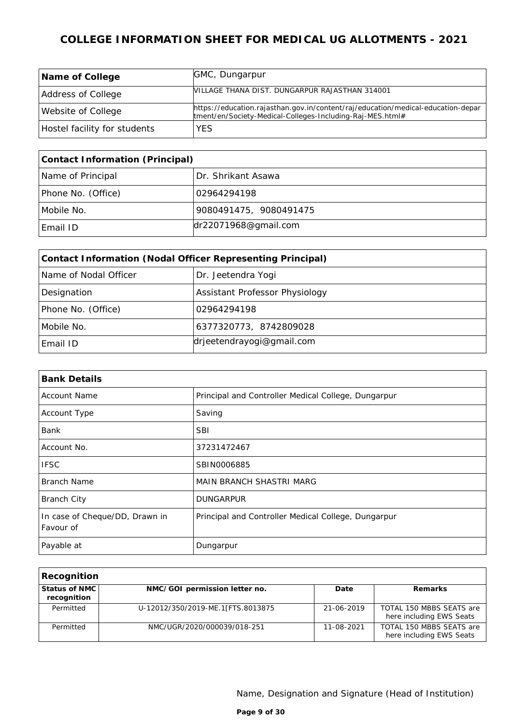| Name of College              | GMC, Dungarpur                                                                                                                                |
|------------------------------|-----------------------------------------------------------------------------------------------------------------------------------------------|
| Address of College           | NILLAGE THANA DIST. DUNGARPUR RAJASTHAN 314001                                                                                                |
| Website of College           | https://education.rajasthan.gov.in/content/raj/education/medical-education-depar<br>tment/en/Society-Medical-Colleges-Including-Raj-MES.html# |
| Hostel facility for students | YES                                                                                                                                           |

| Contact Information (Principal)         |                        |  |
|-----------------------------------------|------------------------|--|
| Name of Principal<br>Dr. Shrikant Asawa |                        |  |
| Phone No. (Office)                      | 02964294198            |  |
| Mobile No.                              | 9080491475, 9080491475 |  |
| Email ID                                | dr22071968@gmail.com   |  |

| Contact Information (Nodal Officer Representing Principal) |                                |  |  |
|------------------------------------------------------------|--------------------------------|--|--|
| Name of Nodal Officer                                      | Dr. Jeetendra Yogi             |  |  |
| Designation                                                | Assistant Professor Physiology |  |  |
| Phone No. (Office)                                         | 02964294198                    |  |  |
| 6377320773, 8742809028<br>Mobile No.                       |                                |  |  |
| Email ID                                                   | drjeetendrayogi@gmail.com      |  |  |

| <b>Bank Details</b>                         |                                                     |
|---------------------------------------------|-----------------------------------------------------|
| <b>Account Name</b>                         | Principal and Controller Medical College, Dungarpur |
| Account Type                                | Saving                                              |
| <b>Bank</b>                                 | <b>SBI</b>                                          |
| Account No.                                 | 37231472467                                         |
| <b>IFSC</b>                                 | SBIN0006885                                         |
| Branch Name                                 | MAIN BRANCH SHASTRI MARG                            |
| <b>Branch City</b>                          | <b>DUNGARPUR</b>                                    |
| In case of Cheque/DD, Drawn in<br>Favour of | Principal and Controller Medical College, Dungarpur |
| Payable at                                  | Dungarpur                                           |

| Recognition                  |                                   |            |                                                      |
|------------------------------|-----------------------------------|------------|------------------------------------------------------|
| Status of NMC<br>recognition | NMC/GOI permission letter no.     | Date       | Remarks                                              |
| Permitted                    | U-12012/350/2019-ME.1[FTS.8013875 | 21-06-2019 | TOTAL 150 MBBS SEATS are<br>here including EWS Seats |
| Permitted                    | NMC/UGR/2020/000039/018-251       | 11-08-2021 | TOTAL 150 MBBS SEATS are<br>here including EWS Seats |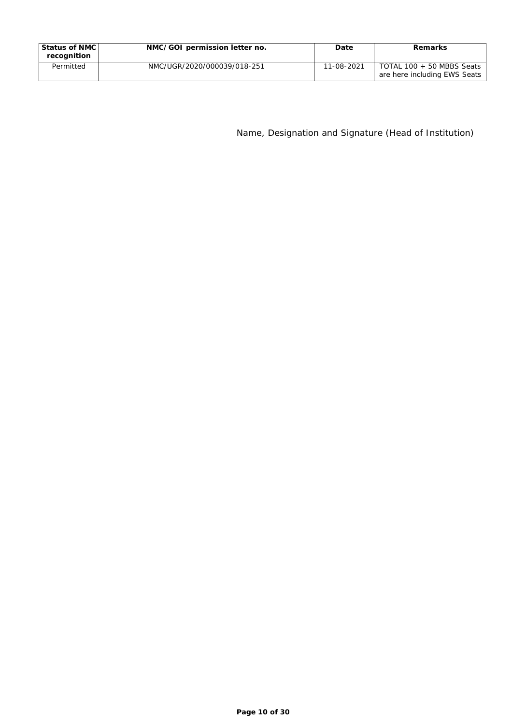| Status of NMC I<br>recognition | NMC/GOI permission letter no. | Date       | Remarks                                                   |
|--------------------------------|-------------------------------|------------|-----------------------------------------------------------|
| Permitted                      | NMC/UGR/2020/000039/018-251   | 11-08-2021 | TOTAL 100 + 50 MBBS Seats<br>are here including EWS Seats |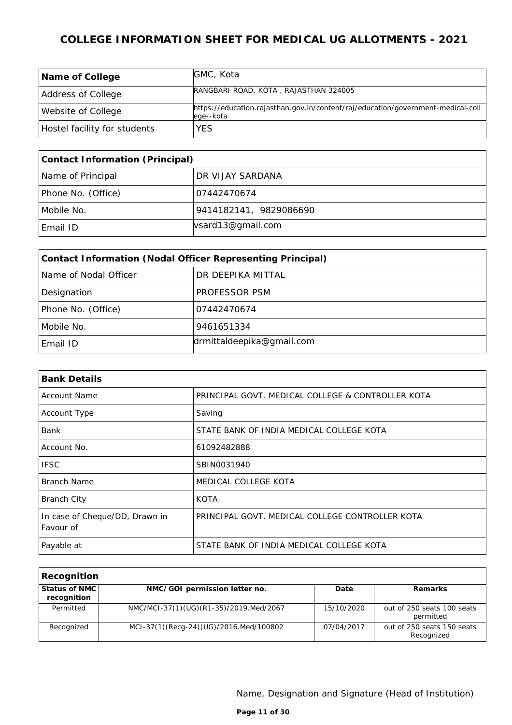| Name of College              | GMC, Kota                                                                                     |
|------------------------------|-----------------------------------------------------------------------------------------------|
| Address of College           | RANGBARI ROAD, KOTA, RAJASTHAN 324005                                                         |
| Website of College           | https://education.rajasthan.gov.in/content/raj/education/government-medical-coll<br>ege--kota |
| Hostel facility for students | <b>YES</b>                                                                                    |

| Contact Information (Principal) |                        |  |
|---------------------------------|------------------------|--|
| Name of Principal               | DR VIJAY SARDANA       |  |
| Phone No. (Office)              | 107442470674           |  |
| Mobile No.                      | 9414182141, 9829086690 |  |
| Email ID                        | vsard13@gmail.com      |  |

| Contact Information (Nodal Officer Representing Principal) |                   |  |  |
|------------------------------------------------------------|-------------------|--|--|
| Name of Nodal Officer                                      | DR DEEPIKA MITTAL |  |  |
| Designation                                                | PROFESSOR PSM     |  |  |
| Phone No. (Office)                                         | 07442470674       |  |  |
| Mobile No.<br>9461651334                                   |                   |  |  |
| drmittaldeepika@gmail.com<br>Email ID                      |                   |  |  |

| <b>Bank Details</b>                         |                                                   |
|---------------------------------------------|---------------------------------------------------|
| <b>Account Name</b>                         | PRINCIPAL GOVT. MEDICAL COLLEGE & CONTROLLER KOTA |
| Account Type                                | Saving                                            |
| Bank                                        | STATE BANK OF INDIA MEDICAL COLLEGE KOTA          |
| Account No.                                 | 61092482888                                       |
| <b>IFSC</b>                                 | SBIN0031940                                       |
| Branch Name                                 | MEDICAL COLLEGE KOTA                              |
| <b>Branch City</b>                          | <b>KOTA</b>                                       |
| In case of Cheque/DD, Drawn in<br>Favour of | PRINCIPAL GOVT. MEDICAL COLLEGE CONTROLLER KOTA   |
| Payable at                                  | STATE BANK OF INDIA MEDICAL COLLEGE KOTA          |

| Recognition                  |                                        |            |                                          |
|------------------------------|----------------------------------------|------------|------------------------------------------|
| Status of NMC<br>recognition | NMC/GOI permission letter no.          | Date       | Remarks                                  |
| Permitted                    | NMC/MCI-37(1)(UG)(R1-35)/2019.Med/2067 | 15/10/2020 | out of 250 seats 100 seats<br>permitted  |
| Recognized                   | MCI-37(1)(Recq-24)(UG)/2016.Med/100802 | 07/04/2017 | out of 250 seats 150 seats<br>Recognized |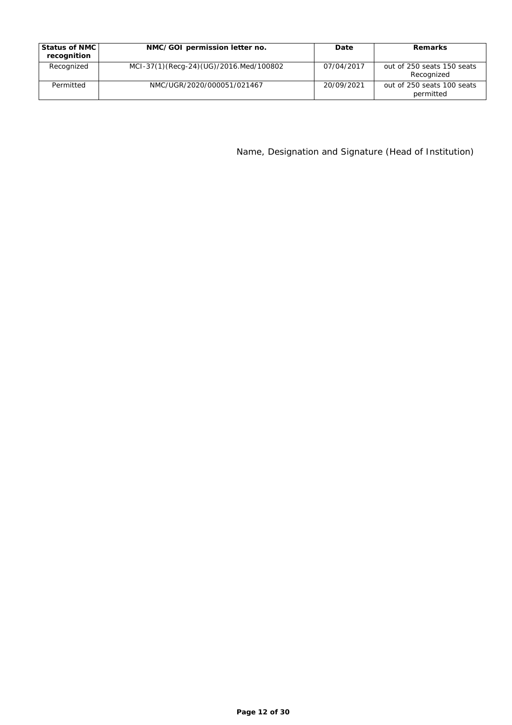| Status of NMC<br>recognition | NMC/GOI permission letter no.          | Date       | Remarks                                  |
|------------------------------|----------------------------------------|------------|------------------------------------------|
| Recognized                   | MCI-37(1)(Recq-24)(UG)/2016.Med/100802 | 07/04/2017 | out of 250 seats 150 seats<br>Recognized |
| Permitted                    | NMC/UGR/2020/000051/021467             | 20/09/2021 | out of 250 seats 100 seats<br>permitted  |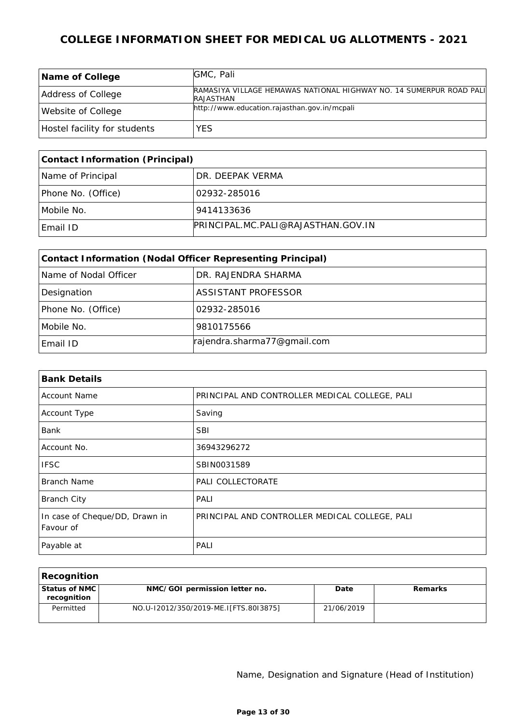| Name of College              | GMC, Pali                                                                               |
|------------------------------|-----------------------------------------------------------------------------------------|
| Address of College           | RAMASIYA VILLAGE HEMAWAS NATIONAL HIGHWAY NO. 14 SUMERPUR ROAD PALI<br><b>RAJASTHAN</b> |
| Website of College           | http://www.education.rajasthan.gov.in/mcpali                                            |
| Hostel facility for students | <b>YES</b>                                                                              |

| Contact Information (Principal) |                                    |  |
|---------------------------------|------------------------------------|--|
| Name of Principal               | DR. DEEPAK VERMA                   |  |
| Phone No. (Office)              | 102932-285016                      |  |
| Mobile No.                      | 9414133636                         |  |
| Email ID                        | PRINCIPAL MC PALI@RAJASTHAN GOV IN |  |

| Contact Information (Nodal Officer Representing Principal) |                             |  |
|------------------------------------------------------------|-----------------------------|--|
| Name of Nodal Officer                                      | DR. RAJENDRA SHARMA         |  |
| Designation                                                | <b>ASSISTANT PROFESSOR</b>  |  |
| Phone No. (Office)                                         | 02932-285016                |  |
| Mobile No.                                                 | 9810175566                  |  |
| Email ID                                                   | rajendra.sharma77@gmail.com |  |

| <b>Bank Details</b>                         |                                                |  |
|---------------------------------------------|------------------------------------------------|--|
| <b>Account Name</b>                         | PRINCIPAL AND CONTROLLER MEDICAL COLLEGE, PALI |  |
| Account Type                                | Saving                                         |  |
| <b>Bank</b>                                 | <b>SBI</b>                                     |  |
| Account No.                                 | 36943296272                                    |  |
| <b>IFSC</b>                                 | SBIN0031589                                    |  |
| Branch Name                                 | PALI COLLECTORATE                              |  |
| <b>Branch City</b>                          | PALI                                           |  |
| In case of Cheque/DD, Drawn in<br>Favour of | PRINCIPAL AND CONTROLLER MEDICAL COLLEGE, PALI |  |
| Payable at                                  | PALI                                           |  |

| Recognition                      |                                       |            |         |
|----------------------------------|---------------------------------------|------------|---------|
| l Status of NMC l<br>recognition | NMC/GOI permission letter no.         | Date       | Remarks |
| Permitted                        | NO.U-12012/350/2019-ME.I[FTS.80I3875] | 21/06/2019 |         |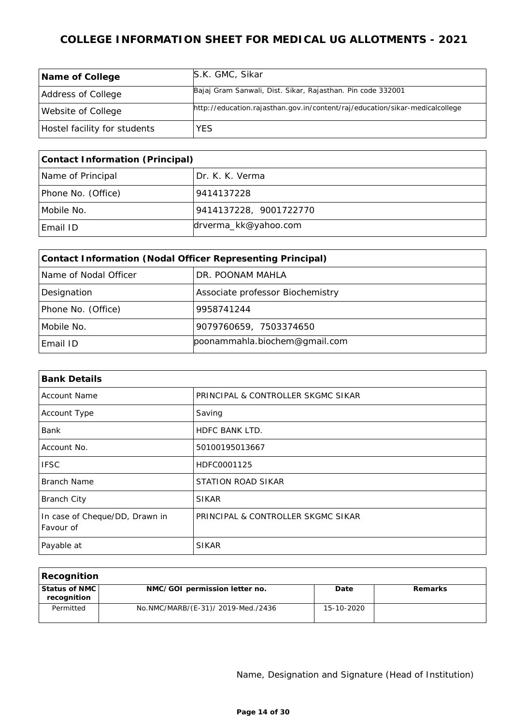| Name of College              | S.K. GMC, Sikar                                                              |
|------------------------------|------------------------------------------------------------------------------|
| Address of College           | Bajaj Gram Sanwali, Dist. Sikar, Rajasthan. Pin code 332001                  |
| Website of College           | http://education.rajasthan.gov.in/content/raj/education/sikar-medicalcollege |
| Hostel facility for students | YES.                                                                         |

| Contact Information (Principal) |                        |  |
|---------------------------------|------------------------|--|
| Name of Principal               | I Dr. K. K. Verma      |  |
| Phone No. (Office)              | 9414137228             |  |
| Mobile No.                      | 9414137228, 9001722770 |  |
| Email ID                        | drverma_kk@yahoo.com   |  |

| Contact Information (Nodal Officer Representing Principal) |                                  |  |
|------------------------------------------------------------|----------------------------------|--|
| Name of Nodal Officer                                      | DR. POONAM MAHLA                 |  |
| Designation                                                | Associate professor Biochemistry |  |
| Phone No. (Office)                                         | 9958741244                       |  |
| Mobile No.                                                 | 9079760659, 7503374650           |  |
| Email ID                                                   | poonammahla.biochem@gmail.com    |  |

| <b>Bank Details</b>                         |                                    |  |
|---------------------------------------------|------------------------------------|--|
| <b>Account Name</b>                         | PRINCIPAL & CONTROLLER SKGMC SIKAR |  |
| Account Type                                | Saving                             |  |
| Bank                                        | <b>HDFC BANK LTD.</b>              |  |
| Account No.                                 | 50100195013667                     |  |
| <b>IFSC</b>                                 | HDFC0001125                        |  |
| <b>Branch Name</b>                          | STATION ROAD SIKAR                 |  |
| <b>Branch City</b>                          | <b>SIKAR</b>                       |  |
| In case of Cheque/DD, Drawn in<br>Favour of | PRINCIPAL & CONTROLLER SKGMC SIKAR |  |
| Payable at                                  | <b>SIKAR</b>                       |  |

| Recognition                    |                                    |            |         |
|--------------------------------|------------------------------------|------------|---------|
| Status of NMC  <br>recognition | NMC/GOI permission letter no.      | Date       | Remarks |
| Permitted                      | No.NMC/MARB/(E-31)/ 2019-Med./2436 | 15-10-2020 |         |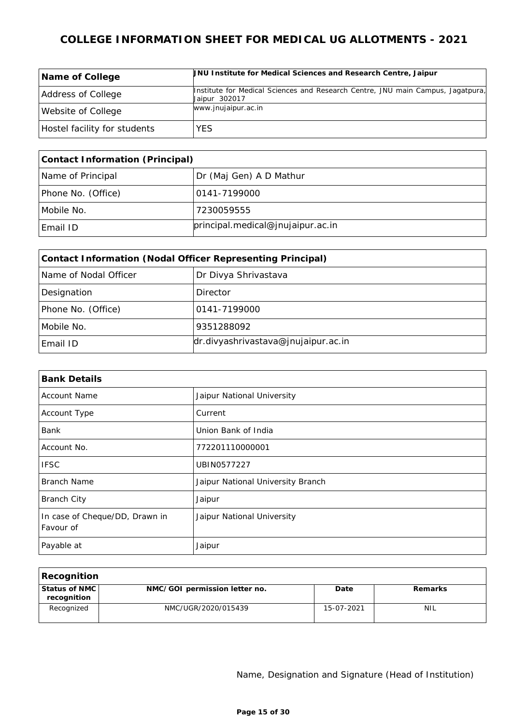| Name of College              | UNU Institute for Medical Sciences and Research Centre, Jaipur                                   |
|------------------------------|--------------------------------------------------------------------------------------------------|
| Address of College           | Institute for Medical Sciences and Research Centre, JNU main Campus, Jagatpura,<br>Jaipur 302017 |
| Website of College           | www.jnujaipur.ac.in                                                                              |
| Hostel facility for students | YES.                                                                                             |

| Contact Information (Principal) |                                      |  |
|---------------------------------|--------------------------------------|--|
| Name of Principal               | Dr (Maj Gen) A D Mathur              |  |
| Phone No. (Office)              | 10141-7199000                        |  |
| Mobile No.                      | 7230059555                           |  |
| Email ID                        | principleal. medical@jnujaipur.ac.in |  |

| Contact Information (Nodal Officer Representing Principal) |                                        |  |
|------------------------------------------------------------|----------------------------------------|--|
| Name of Nodal Officer                                      | Dr Divya Shrivastava                   |  |
| Designation                                                | Director                               |  |
| Phone No. (Office)                                         | 0141-7199000                           |  |
| Mobile No.                                                 | 9351288092                             |  |
| Email ID                                                   | $dr$ .divyashrivastava@jnujaipur.ac.in |  |

| <b>Bank Details</b>                         |                                   |  |
|---------------------------------------------|-----------------------------------|--|
| <b>Account Name</b>                         | Jaipur National University        |  |
| Account Type                                | Current                           |  |
| <b>Bank</b>                                 | Union Bank of India               |  |
| Account No.                                 | 772201110000001                   |  |
| <b>IFSC</b>                                 | UBIN0577227                       |  |
| Branch Name                                 | Jaipur National University Branch |  |
| <b>Branch City</b>                          | Jaipur                            |  |
| In case of Cheque/DD, Drawn in<br>Favour of | Jaipur National University        |  |
| Payable at                                  | Jaipur                            |  |

| Recognition                    |                               |            |            |
|--------------------------------|-------------------------------|------------|------------|
| Status of NMC  <br>recognition | NMC/GOI permission letter no. | Date       | Remarks    |
| Recognized                     | NMC/UGR/2020/015439           | 15-07-2021 | <b>NIL</b> |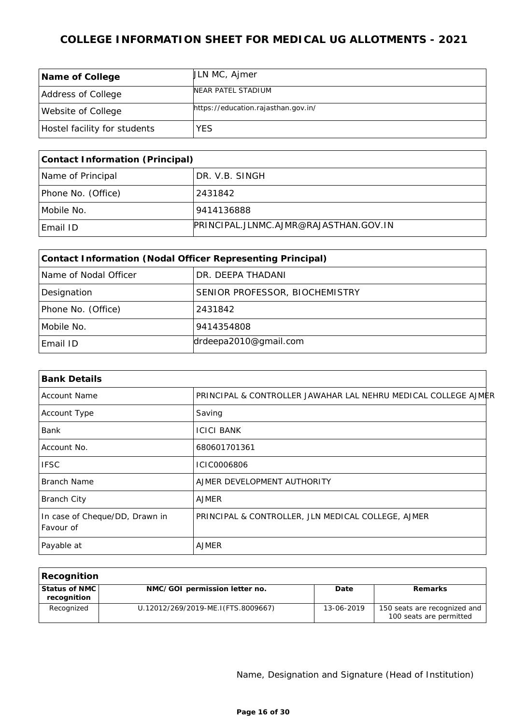| Name of College              | ULN MC, Ajmer                       |
|------------------------------|-------------------------------------|
| Address of College           | NEAR PATEL STADIUM                  |
| Website of College           | https://education.rajasthan.gov.in/ |
| Hostel facility for students | <b>YES</b>                          |

| Contact Information (Principal) |                                       |  |
|---------------------------------|---------------------------------------|--|
| Name of Principal               | DR. V.B. SINGH                        |  |
| Phone No. (Office)              | 2431842                               |  |
| Mobile No.                      | 9414136888                            |  |
| Email ID                        | PRINCIPAL.JLNMC.AJMR@RAJASTHAN.GOV.IN |  |

| Contact Information (Nodal Officer Representing Principal) |                                |  |
|------------------------------------------------------------|--------------------------------|--|
| Name of Nodal Officer                                      | DR. DEEPA THADANI              |  |
| Designation                                                | SENIOR PROFESSOR, BIOCHEMISTRY |  |
| Phone No. (Office)                                         | 2431842                        |  |
| Mobile No.                                                 | 9414354808                     |  |
| Email ID                                                   | drdeepa2010@gmail.com          |  |

| <b>Bank Details</b>                         |                                                                |
|---------------------------------------------|----------------------------------------------------------------|
| <b>Account Name</b>                         | PRINCIPAL & CONTROLLER JAWAHAR LAL NEHRU MEDICAL COLLEGE AJMER |
| Account Type                                | Saving                                                         |
| Bank                                        | <b>ICICI BANK</b>                                              |
| Account No.                                 | 680601701361                                                   |
| <b>IFSC</b>                                 | ICIC0006806                                                    |
| Branch Name                                 | AJMER DEVELOPMENT AUTHORITY                                    |
| <b>Branch City</b>                          | <b>AJMER</b>                                                   |
| In case of Cheque/DD, Drawn in<br>Favour of | PRINCIPAL & CONTROLLER, JLN MEDICAL COLLEGE, AJMER             |
| Payable at                                  | <b>AJMER</b>                                                   |

| Recognition                    |                                     |            |                                                         |
|--------------------------------|-------------------------------------|------------|---------------------------------------------------------|
| Status of NMC  <br>recognition | NMC/GOI permission letter no.       | Date       | Remarks                                                 |
| Recognized                     | U.12012/269/2019-ME.I (FTS.8009667) | 13-06-2019 | 150 seats are recognized and<br>100 seats are permitted |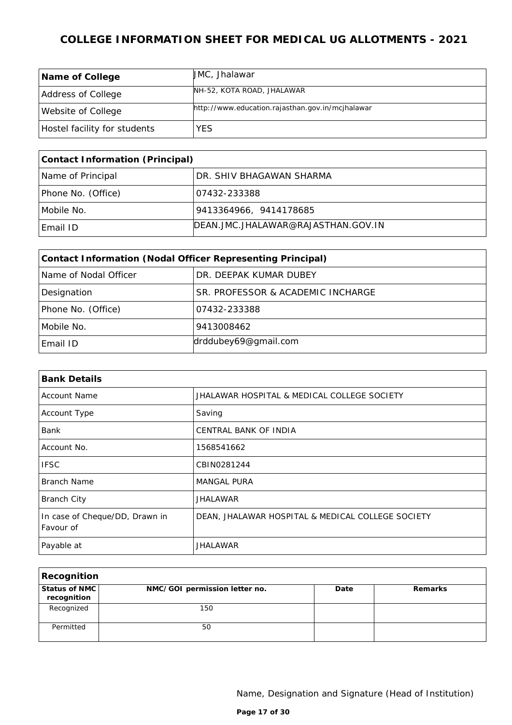| Name of College              | UMC, Jhalawar                                    |
|------------------------------|--------------------------------------------------|
| Address of College           | NH-52, KOTA ROAD, JHALAWAR                       |
| Website of College           | http://www.education.rajasthan.gov.in/mcjhalawar |
| Hostel facility for students | YES.                                             |

| Contact Information (Principal) |                                        |  |
|---------------------------------|----------------------------------------|--|
| Name of Principal               | DR. SHIV BHAGAWAN SHARMA               |  |
| Phone No. (Office)              | 107432-233388                          |  |
| Mobile No.                      | 9413364966, 9414178685                 |  |
| Email ID                        | DEAN, JMC, JHALAWAR@RAJASTHAN, GOV, IN |  |

| Contact Information (Nodal Officer Representing Principal) |                                   |  |
|------------------------------------------------------------|-----------------------------------|--|
| Name of Nodal Officer                                      | DR. DEEPAK KUMAR DUBEY            |  |
| Designation                                                | SR. PROFESSOR & ACADEMIC INCHARGE |  |
| Phone No. (Office)                                         | 07432-233388                      |  |
| Mobile No.                                                 | 9413008462                        |  |
| Email ID                                                   | drddubey69@gmail.com              |  |

| <b>Bank Details</b>                         |                                                   |  |
|---------------------------------------------|---------------------------------------------------|--|
| <b>Account Name</b>                         | JHALAWAR HOSPITAL & MEDICAL COLLEGE SOCIETY       |  |
| Account Type                                | Saving                                            |  |
| Bank                                        | <b>CENTRAL BANK OF INDIA</b>                      |  |
| Account No.                                 | 1568541662                                        |  |
| <b>IFSC</b>                                 | CBIN0281244                                       |  |
| <b>Branch Name</b>                          | <b>MANGAL PURA</b>                                |  |
| <b>Branch City</b>                          | <b>JHALAWAR</b>                                   |  |
| In case of Cheque/DD, Drawn in<br>Favour of | DEAN, JHALAWAR HOSPITAL & MEDICAL COLLEGE SOCIETY |  |
| Payable at                                  | <b>JHALAWAR</b>                                   |  |

| Recognition                  |                               |      |         |
|------------------------------|-------------------------------|------|---------|
| Status of NMC<br>recognition | NMC/GOI permission letter no. | Date | Remarks |
| Recognized                   | 150                           |      |         |
| Permitted                    | 50                            |      |         |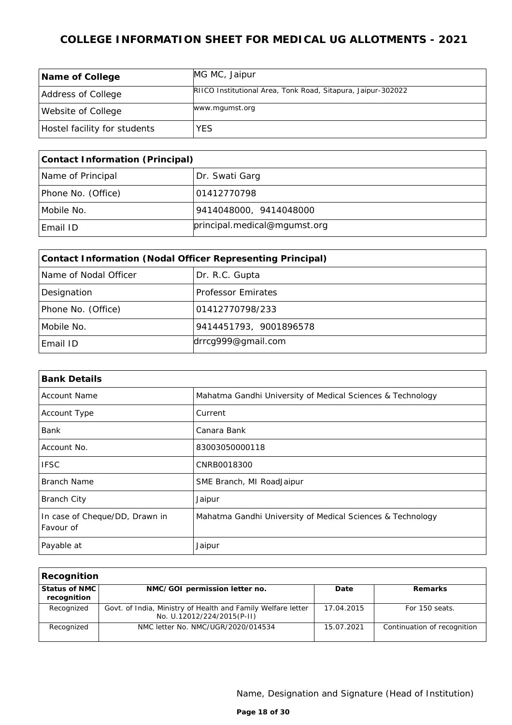| Name of College              | MG MC, Jaipur                                                |
|------------------------------|--------------------------------------------------------------|
| Address of College           | RIICO Institutional Area, Tonk Road, Sitapura, Jaipur-302022 |
| Website of College           | www.mgumst.org                                               |
| Hostel facility for students | <b>YES</b>                                                   |

| Contact Information (Principal) |                              |  |
|---------------------------------|------------------------------|--|
| Name of Principal               | Dr. Swati Garg               |  |
| Phone No. (Office)              | 101412770798                 |  |
| Mobile No.                      | 9414048000,9414048000。       |  |
| Email ID                        | principal.medical@mgumst.org |  |

| Contact Information (Nodal Officer Representing Principal) |                           |  |
|------------------------------------------------------------|---------------------------|--|
| Name of Nodal Officer                                      | Dr. R.C. Gupta            |  |
| Designation                                                | <b>Professor Emirates</b> |  |
| Phone No. (Office)                                         | 01412770798/233           |  |
| Mobile No.                                                 | 9414451793, 9001896578    |  |
| Email ID                                                   | drrcg999@gmail.com        |  |

| <b>Bank Details</b>                         |                                                            |
|---------------------------------------------|------------------------------------------------------------|
| <b>Account Name</b>                         | Mahatma Gandhi University of Medical Sciences & Technology |
| Account Type                                | Current                                                    |
| Bank                                        | Canara Bank                                                |
| Account No.                                 | 83003050000118                                             |
| <b>IFSC</b>                                 | CNRB0018300                                                |
| Branch Name                                 | SME Branch, MI RoadJaipur                                  |
| <b>Branch City</b>                          | Jaipur                                                     |
| In case of Cheque/DD, Drawn in<br>Favour of | Mahatma Gandhi University of Medical Sciences & Technology |
| Payable at                                  | Jaipur                                                     |

| Recognition   |                                                              |            |                             |
|---------------|--------------------------------------------------------------|------------|-----------------------------|
| Status of NMC | NMC/GOI permission letter no.                                | Date       | Remarks                     |
| recognition   |                                                              |            |                             |
| Recognized    | Govt. of India, Ministry of Health and Family Welfare letter | 17.04.2015 | For 150 seats.              |
|               | No. U.12012/224/2015(P-II)                                   |            |                             |
| Recognized    | NMC letter No. NMC/UGR/2020/014534                           | 15.07.2021 | Continuation of recognition |
|               |                                                              |            |                             |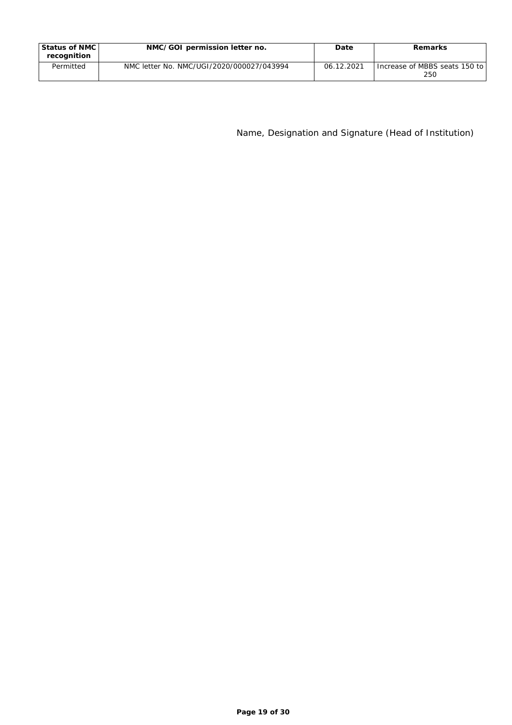| Status of NMC I<br>recognition | NMC/GOI permission letter no.             | Date       | Remarks                                |
|--------------------------------|-------------------------------------------|------------|----------------------------------------|
| Permitted                      | NMC letter No. NMC/UGI/2020/000027/043994 | 06.12.2021 | Increase of MBBS seats 150 to l<br>250 |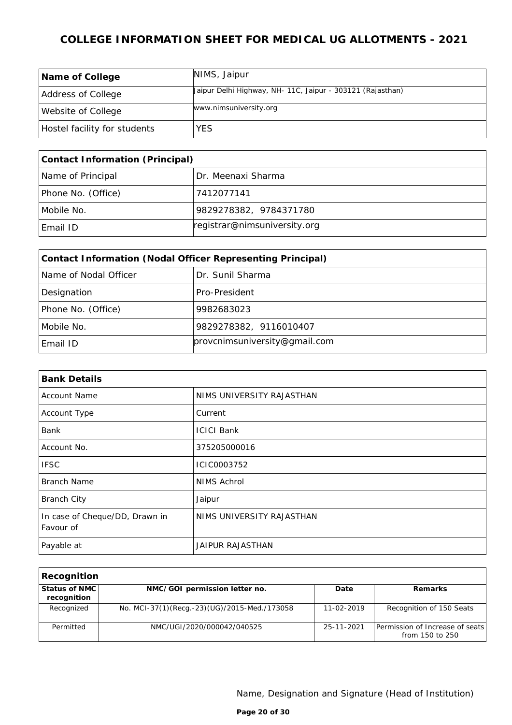| Name of College              | NIMS, Jaipur                                               |
|------------------------------|------------------------------------------------------------|
| Address of College           | Jaipur Delhi Highway, NH- 11C, Jaipur - 303121 (Rajasthan) |
| Website of College           | www.nimsuniversity.org                                     |
| Hostel facility for students | <b>YES</b>                                                 |

| Contact Information (Principal) |                              |  |
|---------------------------------|------------------------------|--|
| Name of Principal               | Dr. Meenaxi Sharma           |  |
| Phone No. (Office)              | 7412077141                   |  |
| Mobile No.                      | 9829278382, 9784371780       |  |
| Email ID                        | registrar@nimsuniversity.org |  |

| Contact Information (Nodal Officer Representing Principal) |                               |  |
|------------------------------------------------------------|-------------------------------|--|
| Name of Nodal Officer                                      | Dr. Sunil Sharma              |  |
| Designation                                                | Pro-President                 |  |
| Phone No. (Office)                                         | 9982683023                    |  |
| Mobile No.                                                 | 9829278382, 9116010407        |  |
| Email ID                                                   | provcnimsuniversity@gmail.com |  |

| <b>Bank Details</b>                         |                           |
|---------------------------------------------|---------------------------|
| <b>Account Name</b>                         | NIMS UNIVERSITY RAJASTHAN |
| Account Type                                | Current                   |
| Bank                                        | <b>ICICI Bank</b>         |
| Account No.                                 | 375205000016              |
| <b>IFSC</b>                                 | ICIC0003752               |
| <b>Branch Name</b>                          | NIMS Achrol               |
| <b>Branch City</b>                          | Jaipur                    |
| In case of Cheque/DD, Drawn in<br>Favour of | NIMS UNIVERSITY RAJASTHAN |
| Payable at                                  | JAIPUR RAJASTHAN          |

| Recognition                  |                                              |            |                                                    |
|------------------------------|----------------------------------------------|------------|----------------------------------------------------|
| Status of NMC<br>recognition | NMC/GOI permission letter no.                | Date       | Remarks                                            |
| Recognized                   | No. MCI-37(1)(Recq.-23)(UG)/2015-Med./173058 | 11-02-2019 | Recognition of 150 Seats                           |
| Permitted                    | NMC/UGI/2020/000042/040525                   | 25-11-2021 | Permission of Increase of seats<br>from 150 to 250 |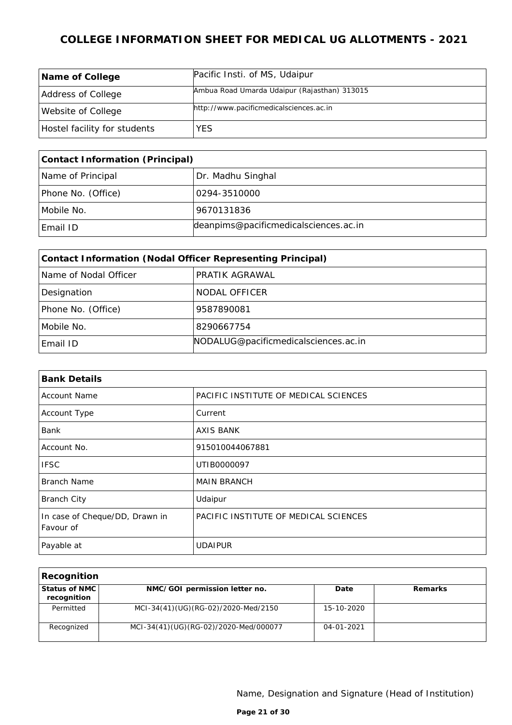| Name of College              | Pacific Insti. of MS, Udaipur                |
|------------------------------|----------------------------------------------|
| Address of College           | Ambua Road Umarda Udaipur (Rajasthan) 313015 |
| Website of College           | http://www.pacificmedicalsciences.ac.in      |
| Hostel facility for students | <b>YES</b>                                   |

| Contact Information (Principal) |                                       |  |
|---------------------------------|---------------------------------------|--|
| Name of Principal               | Dr. Madhu Singhal                     |  |
| Phone No. (Office)              | 10294-3510000                         |  |
| Mobile No.                      | 9670131836                            |  |
| Email ID                        | deanpims@pacificmedicalsciences.ac.in |  |

| Contact Information (Nodal Officer Representing Principal) |                                      |  |
|------------------------------------------------------------|--------------------------------------|--|
| Name of Nodal Officer                                      | PRATIK AGRAWAL                       |  |
| Designation                                                | NODAL OFFICER                        |  |
| Phone No. (Office)                                         | 9587890081                           |  |
| Mobile No.                                                 | 8290667754                           |  |
| Email ID                                                   | NODALUG@pacificmedicalsciences.ac.in |  |

| <b>Bank Details</b>                         |                                       |  |
|---------------------------------------------|---------------------------------------|--|
| <b>Account Name</b>                         | PACIFIC INSTITUTE OF MEDICAL SCIENCES |  |
| Account Type                                | Current                               |  |
| Bank                                        | <b>AXIS BANK</b>                      |  |
| Account No.                                 | 915010044067881                       |  |
| <b>IFSC</b>                                 | UTIB0000097                           |  |
| Branch Name                                 | <b>MAIN BRANCH</b>                    |  |
| <b>Branch City</b>                          | Udaipur                               |  |
| In case of Cheque/DD, Drawn in<br>Favour of | PACIFIC INSTITUTE OF MEDICAL SCIENCES |  |
| Payable at                                  | <b>UDAIPUR</b>                        |  |

| Recognition                  |                                       |                  |         |
|------------------------------|---------------------------------------|------------------|---------|
| Status of NMC<br>recognition | NMC/GOI permission letter no.         | Date             | Remarks |
| Permitted                    | MCI-34(41)(UG)(RG-02)/2020-Med/2150   | 15-10-2020       |         |
| Recognized                   | MCI-34(41)(UG)(RG-02)/2020-Med/000077 | $04 - 01 - 2021$ |         |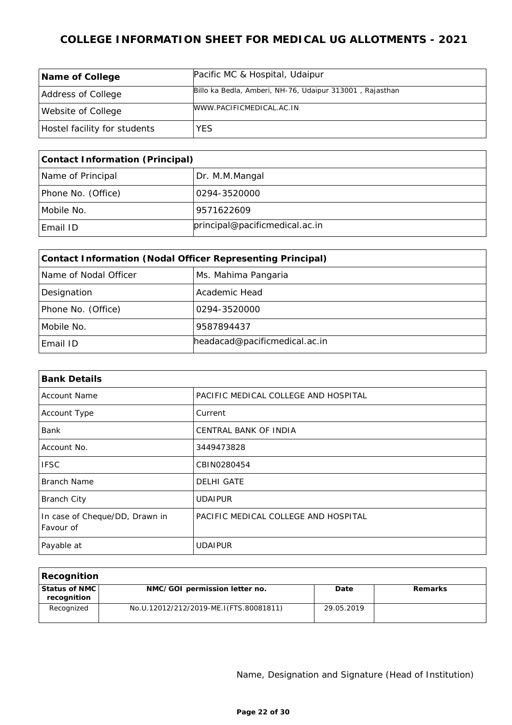| Name of College              | Pacific MC & Hospital, Udaipur                           |
|------------------------------|----------------------------------------------------------|
| Address of College           | Billo ka Bedla, Amberi, NH-76, Udaipur 313001, Rajasthan |
| Website of College           | MWW.PACIFICMEDICAL.AC.IN                                 |
| Hostel facility for students | <b>YES</b>                                               |

| Contact Information (Principal) |                                |
|---------------------------------|--------------------------------|
| Name of Principal               | Dr. M.M.Mangal                 |
| Phone No. (Office)              | 0294-3520000                   |
| Mobile No.                      | 9571622609                     |
| Email ID                        | principal@pacificmedical.ac.in |

| Contact Information (Nodal Officer Representing Principal) |                               |  |
|------------------------------------------------------------|-------------------------------|--|
| Name of Nodal Officer                                      | Ms. Mahima Pangaria           |  |
| Designation                                                | Academic Head                 |  |
| Phone No. (Office)                                         | 0294-3520000                  |  |
| Mobile No.                                                 | 9587894437                    |  |
| Email ID                                                   | headacad@pacificmedical.ac.in |  |

| <b>Bank Details</b>                         |                                      |  |
|---------------------------------------------|--------------------------------------|--|
| <b>Account Name</b>                         | PACIFIC MEDICAL COLLEGE AND HOSPITAL |  |
| Account Type                                | Current                              |  |
| <b>Bank</b>                                 | <b>CENTRAL BANK OF INDIA</b>         |  |
| Account No.                                 | 3449473828                           |  |
| <b>IFSC</b>                                 | CBIN0280454                          |  |
| Branch Name                                 | <b>DELHI GATE</b>                    |  |
| <b>Branch City</b>                          | <b>UDAIPUR</b>                       |  |
| In case of Cheque/DD, Drawn in<br>Favour of | PACIFIC MEDICAL COLLEGE AND HOSPITAL |  |
| Payable at                                  | <b>UDAIPUR</b>                       |  |

| Recognition                    |                                        |            |         |
|--------------------------------|----------------------------------------|------------|---------|
| Status of NMC  <br>recognition | NMC/GOI permission letter no.          | Date       | Remarks |
| Recognized                     | No.U.12012/212/2019-ME.I(FTS.80081811) | 29.05.2019 |         |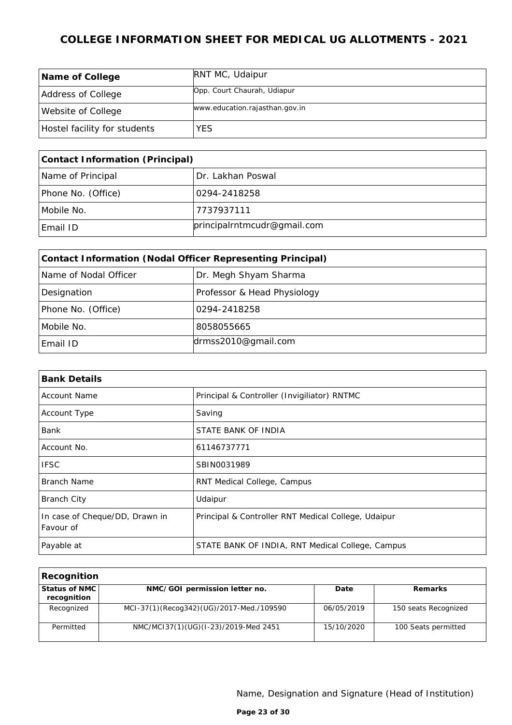| Name of College              | <b>RNT MC, Udaipur</b>         |
|------------------------------|--------------------------------|
| Address of College           | Opp. Court Chaurah, Udiapur    |
| Website of College           | www.education.rajasthan.gov.in |
| Hostel facility for students | YES                            |

| Contact Information (Principal) |                             |
|---------------------------------|-----------------------------|
| Name of Principal               | Dr. Lakhan Poswal           |
| Phone No. (Office)              | 0294-2418258                |
| Mobile No.                      | 7737937111                  |
| Email ID                        | principalrntmcudr@gmail.com |

| Contact Information (Nodal Officer Representing Principal) |                             |
|------------------------------------------------------------|-----------------------------|
| Name of Nodal Officer                                      | Dr. Megh Shyam Sharma       |
| Designation                                                | Professor & Head Physiology |
| Phone No. (Office)                                         | 0294-2418258                |
| Mobile No.                                                 | 8058055665                  |
| Email ID                                                   | drmss2010@gmail.com         |

| <b>Bank Details</b>                         |                                                     |
|---------------------------------------------|-----------------------------------------------------|
| Account Name                                | Principal & Controller (Invigiliator) RNTMC         |
| Account Type                                | Saving                                              |
| Bank                                        | STATE BANK OF INDIA                                 |
| Account No.                                 | 61146737771                                         |
| <b>IFSC</b>                                 | SBIN0031989                                         |
| Branch Name                                 | RNT Medical College, Campus                         |
| <b>Branch City</b>                          | Udaipur                                             |
| In case of Cheque/DD, Drawn in<br>Favour of | Principal & Controller RNT Medical College, Udaipur |
| Payable at                                  | STATE BANK OF INDIA, RNT Medical College, Campus    |

| Recognition                  |                                          |            |                      |
|------------------------------|------------------------------------------|------------|----------------------|
| Status of NMC<br>recognition | NMC/GOI permission letter no.            | Date       | Remarks              |
| Recognized                   | MCI-37(1)(Recog342)(UG)/2017-Med./109590 | 06/05/2019 | 150 seats Recognized |
| Permitted                    | NMC/MCI37(1)(UG)(I-23)/2019-Med 2451     | 15/10/2020 | 100 Seats permitted  |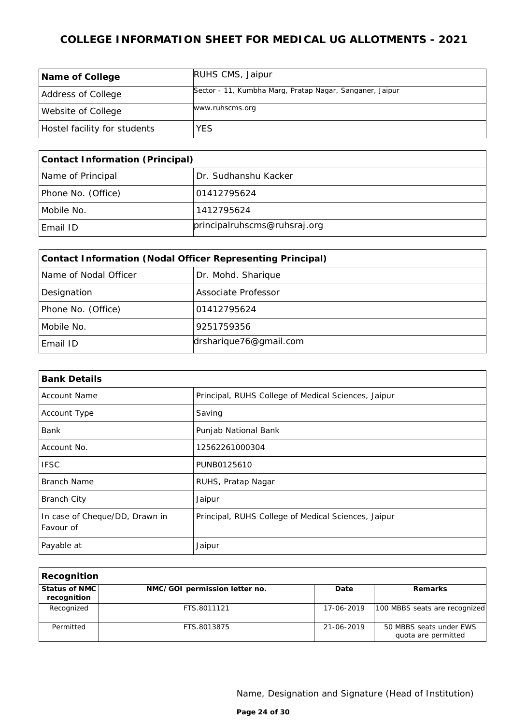| Name of College              | RUHS CMS, Jaipur                                         |
|------------------------------|----------------------------------------------------------|
| Address of College           | Sector - 11, Kumbha Marg, Pratap Nagar, Sanganer, Jaipur |
| Website of College           | www.ruhscms.org                                          |
| Hostel facility for students | <b>YES</b>                                               |

| Contact Information (Principal) |                              |
|---------------------------------|------------------------------|
| Name of Principal               | Dr. Sudhanshu Kacker         |
| Phone No. (Office)              | 101412795624                 |
| Mobile No.                      | 1412795624                   |
| Email ID                        | principalruhscms@ruhsraj.org |

| Contact Information (Nodal Officer Representing Principal) |                        |
|------------------------------------------------------------|------------------------|
| Name of Nodal Officer                                      | Dr. Mohd. Sharique     |
| Designation                                                | Associate Professor    |
| Phone No. (Office)                                         | 01412795624            |
| Mobile No.                                                 | 9251759356             |
| Email ID                                                   | drsharique76@gmail.com |

| <b>Bank Details</b>                         |                                                     |
|---------------------------------------------|-----------------------------------------------------|
| <b>Account Name</b>                         | Principal, RUHS College of Medical Sciences, Jaipur |
| Account Type                                | Saving                                              |
| Bank                                        | Punjab National Bank                                |
| Account No.                                 | 12562261000304                                      |
| <b>IFSC</b>                                 | PUNB0125610                                         |
| <b>Branch Name</b>                          | RUHS, Pratap Nagar                                  |
| <b>Branch City</b>                          | Jaipur                                              |
| In case of Cheque/DD, Drawn in<br>Favour of | Principal, RUHS College of Medical Sciences, Jaipur |
| Payable at                                  | Jaipur                                              |

| Recognition                    |                               |            |                                                |
|--------------------------------|-------------------------------|------------|------------------------------------------------|
| Status of NMC I<br>recognition | NMC/GOI permission letter no. | Date       | Remarks                                        |
| Recognized                     | FTS.8011121                   | 17-06-2019 | 100 MBBS seats are recognized                  |
| Permitted                      | FTS.8013875                   | 21-06-2019 | 50 MBBS seats under EWS<br>quota are permitted |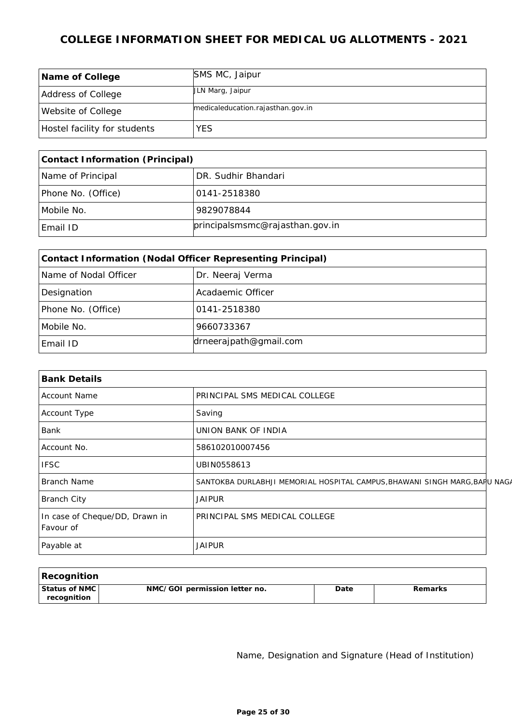| Name of College              | SMS MC, Jaipur                    |
|------------------------------|-----------------------------------|
| Address of College           | ULN Marg, Jaipur                  |
| Website of College           | medicaleducation.rajasthan.gov.in |
| Hostel facility for students | YES.                              |

| Contact Information (Principal) |                                 |
|---------------------------------|---------------------------------|
| Name of Principal               | DR. Sudhir Bhandari             |
| Phone No. (Office)              | 10141-2518380                   |
| Mobile No.                      | 9829078844                      |
| Email ID                        | principalsmsmc@rajasthan.gov.in |

| Contact Information (Nodal Officer Representing Principal) |                        |
|------------------------------------------------------------|------------------------|
| Name of Nodal Officer                                      | Dr. Neeraj Verma       |
| Designation                                                | Acadaemic Officer      |
| Phone No. (Office)                                         | 0141-2518380           |
| Mobile No.                                                 | 9660733367             |
| Email ID                                                   | drneerajpath@gmail.com |

| <b>Bank Details</b>                         |                                                                            |  |
|---------------------------------------------|----------------------------------------------------------------------------|--|
| <b>Account Name</b>                         | PRINCIPAL SMS MEDICAL COLLEGE                                              |  |
| Account Type                                | Saving                                                                     |  |
| Bank                                        | UNION BANK OF INDIA                                                        |  |
| Account No.                                 | 586102010007456                                                            |  |
| <b>IFSC</b>                                 | UBIN0558613                                                                |  |
| <b>Branch Name</b>                          | SANTOKBA DURLABHJI MEMORIAL HOSPITAL CAMPUS, BHAWANI SINGH MARG, BARU NAGA |  |
| <b>Branch City</b>                          | <b>JAIPUR</b>                                                              |  |
| In case of Cheque/DD, Drawn in<br>Favour of | PRINCIPAL SMS MEDICAL COLLEGE                                              |  |
| Payable at                                  | <b>JAIPUR</b>                                                              |  |

| Recognition                    |                               |      |                |
|--------------------------------|-------------------------------|------|----------------|
| Status of NMC  <br>recognition | NMC/GOI permission letter no. | Date | <b>Remarks</b> |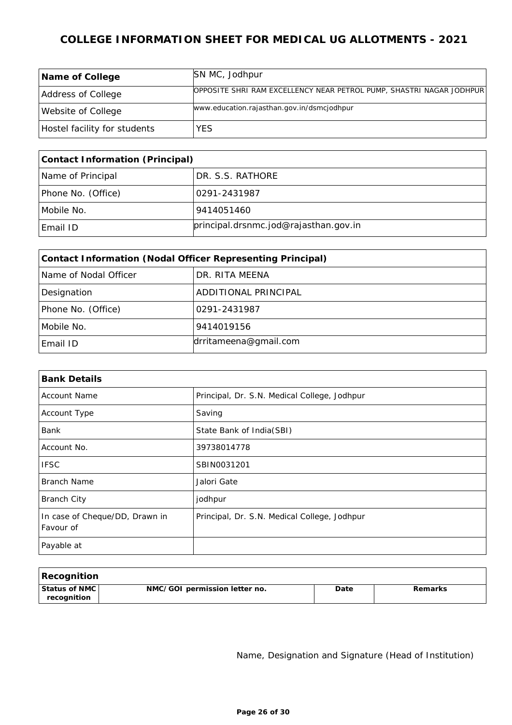| Name of College              | SN MC, Jodhpur                                                       |
|------------------------------|----------------------------------------------------------------------|
| Address of College           | OPPOSITE SHRI RAM EXCELLENCY NEAR PETROL PUMP, SHASTRI NAGAR JODHPUR |
| Website of College           | www.education.rajasthan.gov.in/dsmcjodhpur                           |
| Hostel facility for students | <b>YES</b>                                                           |

| Contact Information (Principal) |                                       |  |
|---------------------------------|---------------------------------------|--|
| Name of Principal               | 'DR. S.S. RATHORE                     |  |
| Phone No. (Office)              | 10291-2431987                         |  |
| Mobile No.                      | 9414051460                            |  |
| Email ID                        | principal.drsnmc.jod@rajasthan.gov.in |  |

| Contact Information (Nodal Officer Representing Principal) |                       |  |
|------------------------------------------------------------|-----------------------|--|
| Name of Nodal Officer                                      | DR. RITA MEENA        |  |
| Designation                                                | ADDITIONAL PRINCIPAL  |  |
| Phone No. (Office)                                         | 0291-2431987          |  |
| Mobile No.                                                 | 9414019156            |  |
| Email ID                                                   | drritameena@gmail.com |  |

| <b>Bank Details</b>                         |                                              |
|---------------------------------------------|----------------------------------------------|
| <b>Account Name</b>                         | Principal, Dr. S.N. Medical College, Jodhpur |
| Account Type                                | Saving                                       |
| Bank                                        | State Bank of India(SBI)                     |
| Account No.                                 | 39738014778                                  |
| <b>IFSC</b>                                 | SBIN0031201                                  |
| Branch Name                                 | Jalori Gate                                  |
| <b>Branch City</b>                          | jodhpur                                      |
| In case of Cheque/DD, Drawn in<br>Favour of | Principal, Dr. S.N. Medical College, Jodhpur |
| Payable at                                  |                                              |

| Recognition                  |                               |      |         |
|------------------------------|-------------------------------|------|---------|
| Status of NMC<br>recognition | NMC/GOI permission letter no. | Date | Remarks |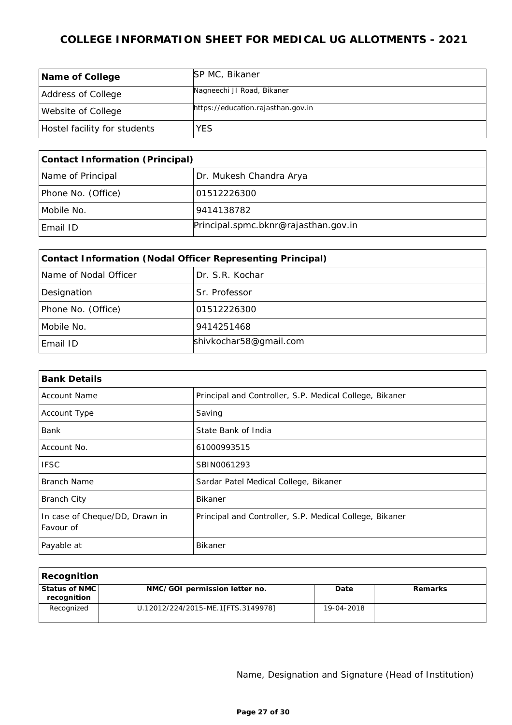| Name of College              | SP MC, Bikaner                     |
|------------------------------|------------------------------------|
| Address of College           | Nagneechi JI Road, Bikaner         |
| <b>Website of College</b>    | https://education.rajasthan.gov.in |
| Hostel facility for students | YES                                |

| Contact Information (Principal) |                                      |  |
|---------------------------------|--------------------------------------|--|
| Name of Principal               | Dr. Mukesh Chandra Arya              |  |
| Phone No. (Office)              | 01512226300                          |  |
| Mobile No.                      | 9414138782                           |  |
| Email ID                        | Principal.spmc.bknr@rajasthan.gov.in |  |

| Contact Information (Nodal Officer Representing Principal) |                        |  |
|------------------------------------------------------------|------------------------|--|
| Name of Nodal Officer                                      | Dr. S.R. Kochar        |  |
| Designation                                                | Sr. Professor          |  |
| Phone No. (Office)                                         | 01512226300            |  |
| Mobile No.                                                 | 9414251468             |  |
| Email ID                                                   | shivkochar58@gmail.com |  |

| <b>Bank Details</b>                         |                                                         |
|---------------------------------------------|---------------------------------------------------------|
| <b>Account Name</b>                         | Principal and Controller, S.P. Medical College, Bikaner |
| Account Type                                | Saving                                                  |
| <b>Bank</b>                                 | State Bank of India                                     |
| Account No.                                 | 61000993515                                             |
| <b>IFSC</b>                                 | SBIN0061293                                             |
| Branch Name                                 | Sardar Patel Medical College, Bikaner                   |
| <b>Branch City</b>                          | <b>Bikaner</b>                                          |
| In case of Cheque/DD, Drawn in<br>Favour of | Principal and Controller, S.P. Medical College, Bikaner |
| Payable at                                  | <b>Bikaner</b>                                          |

| Recognition                      |                                    |            |         |
|----------------------------------|------------------------------------|------------|---------|
| ' Status of NMC l<br>recognition | NMC/GOI permission letter no.      | Date       | Remarks |
| Recognized                       | U.12012/224/2015-ME.1[FTS.3149978] | 19-04-2018 |         |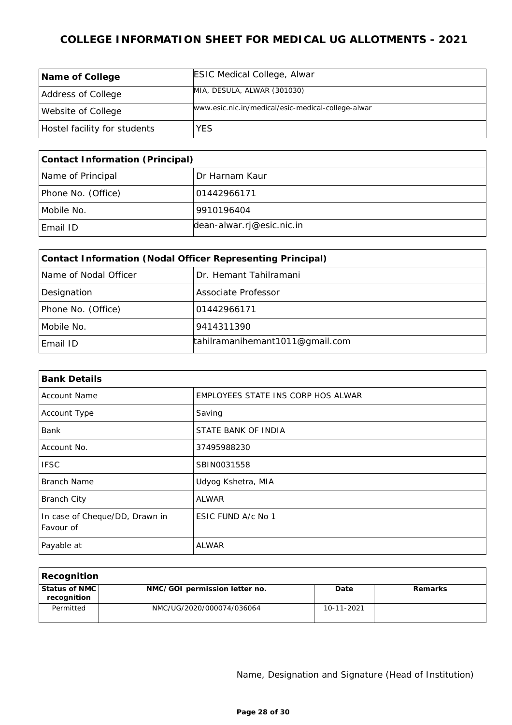| Name of College              | <b>ESIC Medical College, Alwar</b>                 |
|------------------------------|----------------------------------------------------|
| Address of College           | MIA, DESULA, ALWAR (301030)                        |
| Website of College           | www.esic.nic.in/medical/esic-medical-college-alwar |
| Hostel facility for students | <b>YES</b>                                         |

| Contact Information (Principal) |                           |  |
|---------------------------------|---------------------------|--|
| Name of Principal               | Dr Harnam Kaur            |  |
| Phone No. (Office)              | 101442966171              |  |
| Mobile No.                      | 9910196404                |  |
| Email ID                        | dean-alwar.rj@esic.nic.in |  |

| Contact Information (Nodal Officer Representing Principal) |                                 |  |
|------------------------------------------------------------|---------------------------------|--|
| Name of Nodal Officer                                      | Dr. Hemant Tahilramani          |  |
| Designation                                                | Associate Professor             |  |
| Phone No. (Office)                                         | 01442966171                     |  |
| Mobile No.                                                 | 9414311390                      |  |
| Email ID                                                   | tahilramanihemant1011@gmail.com |  |

| <b>Bank Details</b>                         |                                    |
|---------------------------------------------|------------------------------------|
| <b>Account Name</b>                         | EMPLOYEES STATE INS CORP HOS ALWAR |
| Account Type                                | Saving                             |
| Bank                                        | STATE BANK OF INDIA                |
| Account No.                                 | 37495988230                        |
| <b>IFSC</b>                                 | SBIN0031558                        |
| <b>Branch Name</b>                          | Udyog Kshetra, MIA                 |
| <b>Branch City</b>                          | ALWAR                              |
| In case of Cheque/DD, Drawn in<br>Favour of | ESIC FUND A/c No 1                 |
| Payable at                                  | <b>ALWAR</b>                       |

| Recognition                      |                               |            |         |
|----------------------------------|-------------------------------|------------|---------|
| ' Status of NMC l<br>recognition | NMC/GOI permission letter no. | Date       | Remarks |
| Permitted                        | NMC/UG/2020/000074/036064     | 10-11-2021 |         |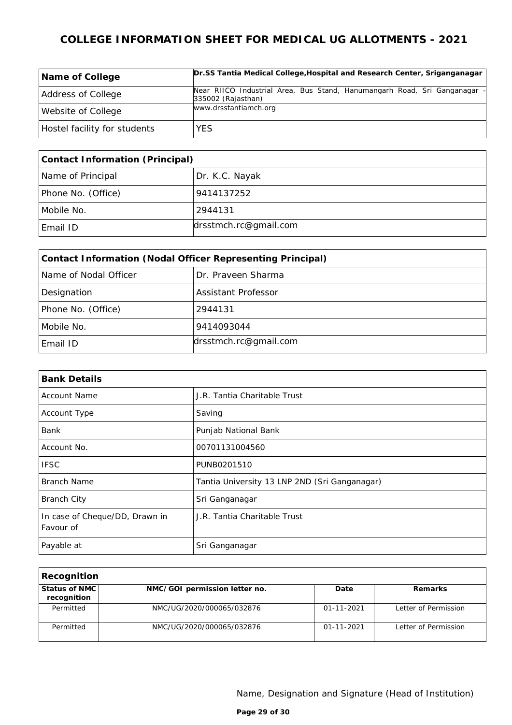| Name of College              | Dr.SS Tantia Medical College, Hospital and Research Center, Sriganganagar                       |
|------------------------------|-------------------------------------------------------------------------------------------------|
| Address of College           | Near RIICO Industrial Area, Bus Stand, Hanumangarh Road, Sri Ganganagar -<br>335002 (Rajasthan) |
| Website of College           | www.drsstantiamch.org                                                                           |
| Hostel facility for students | YES.                                                                                            |

| Contact Information (Principal) |                       |  |
|---------------------------------|-----------------------|--|
| Name of Principal               | Dr. K.C. Nayak        |  |
| Phone No. (Office)              | 9414137252            |  |
| Mobile No.                      | 2944131               |  |
| Email ID                        | drsstmch.rc@gmail.com |  |

| Contact Information (Nodal Officer Representing Principal) |                            |  |
|------------------------------------------------------------|----------------------------|--|
| Name of Nodal Officer                                      | Dr. Praveen Sharma         |  |
| Designation                                                | <b>Assistant Professor</b> |  |
| Phone No. (Office)                                         | 2944131                    |  |
| Mobile No.                                                 | 9414093044                 |  |
| Email ID                                                   | drsstmch.rc@gmail.com      |  |

| <b>Bank Details</b>                         |                                               |
|---------------------------------------------|-----------------------------------------------|
| <b>Account Name</b>                         | J.R. Tantia Charitable Trust                  |
| Account Type                                | Saving                                        |
| Bank                                        | Punjab National Bank                          |
| Account No.                                 | 00701131004560                                |
| <b>IFSC</b>                                 | PUNB0201510                                   |
| <b>Branch Name</b>                          | Tantia University 13 LNP 2ND (Sri Ganganagar) |
| <b>Branch City</b>                          | Sri Ganganagar                                |
| In case of Cheque/DD, Drawn in<br>Favour of | J.R. Tantia Charitable Trust                  |
| Payable at                                  | Sri Ganganagar                                |

| Recognition                    |                               |                  |                      |
|--------------------------------|-------------------------------|------------------|----------------------|
| Status of NMC I<br>recognition | NMC/GOI permission letter no. | Date             | Remarks              |
| Permitted                      | NMC/UG/2020/000065/032876     | $01 - 11 - 2021$ | Letter of Permission |
| Permitted                      | NMC/UG/2020/000065/032876     | $01 - 11 - 2021$ | Letter of Permission |